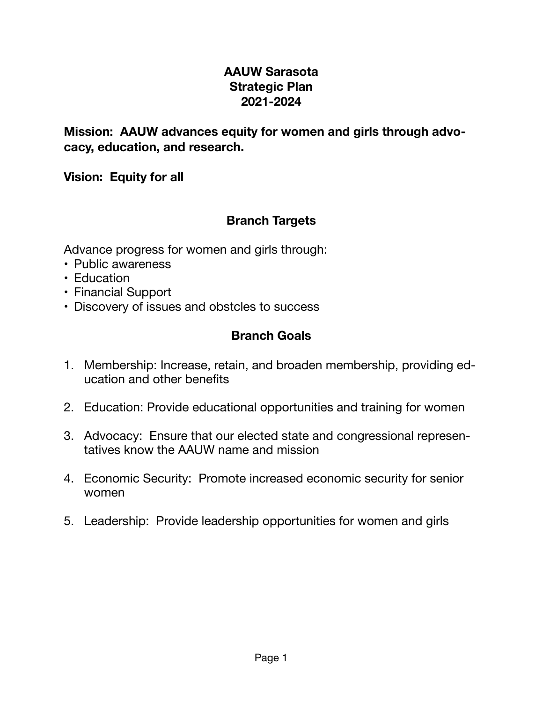## **AAUW Sarasota Strategic Plan 2021-2024**

**Mission: AAUW advances equity for women and girls through advocacy, education, and research.** 

**Vision: Equity for all** 

## **Branch Targets**

Advance progress for women and girls through:

- Public awareness
- Education
- Financial Support
- Discovery of issues and obstcles to success

# **Branch Goals**

- 1. Membership: Increase, retain, and broaden membership, providing education and other benefits
- 2. Education: Provide educational opportunities and training for women
- 3. Advocacy: Ensure that our elected state and congressional representatives know the AAUW name and mission
- 4. Economic Security: Promote increased economic security for senior women
- 5. Leadership: Provide leadership opportunities for women and girls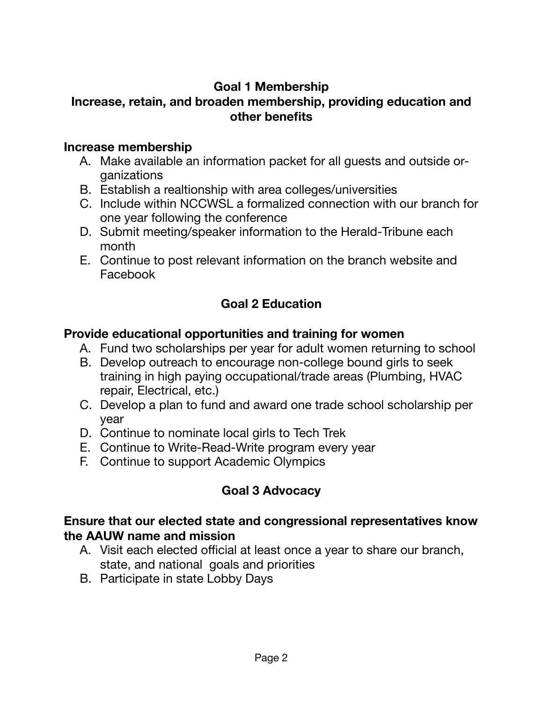## **Goal 1 Membership**

## **Increase, retain, and broaden membership, providing education and other benefits**

#### **Increase membership**

- A. Make available an information packet for all guests and outside organizations
- B. Establish a realtionship with area colleges/universities
- C. Include within NCCWSL a formalized connection with our branch for one year following the conference
- D. Submit meeting/speaker information to the Herald-Tribune each month
- E. Continue to post relevant information on the branch website and Facebook

# **Goal 2 Education**

#### **Provide educational opportunities and training for women**

- A. Fund two scholarships per year for adult women returning to school
- B. Develop outreach to encourage non-college bound girls to seek training in high paying occupational/trade areas (Plumbing, HVAC repair, Electrical, etc.)
- C. Develop a plan to fund and award one trade school scholarship per year
- D. Continue to nominate local girls to Tech Trek
- E. Continue to Write-Read-Write program every year
- F. Continue to support Academic Olympics

# **Goal 3 Advocacy**

## **Ensure that our elected state and congressional representatives know the AAUW name and mission**

- A. Visit each elected official at least once a year to share our branch, state, and national goals and priorities
- B. Participate in state Lobby Days